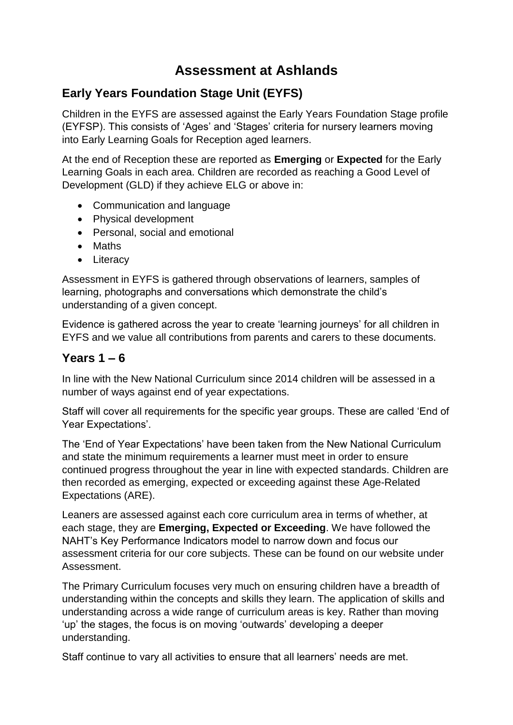## **Assessment at Ashlands**

## **Early Years Foundation Stage Unit (EYFS)**

Children in the EYFS are assessed against the Early Years Foundation Stage profile (EYFSP). This consists of 'Ages' and 'Stages' criteria for nursery learners moving into Early Learning Goals for Reception aged learners.

At the end of Reception these are reported as **Emerging** or **Expected** for the Early Learning Goals in each area. Children are recorded as reaching a Good Level of Development (GLD) if they achieve ELG or above in:

- Communication and language
- Physical development
- Personal, social and emotional
- Maths
- Literacy

Assessment in EYFS is gathered through observations of learners, samples of learning, photographs and conversations which demonstrate the child's understanding of a given concept.

Evidence is gathered across the year to create 'learning journeys' for all children in EYFS and we value all contributions from parents and carers to these documents.

## **Years 1 – 6**

In line with the New National Curriculum since 2014 children will be assessed in a number of ways against end of year expectations.

Staff will cover all requirements for the specific year groups. These are called 'End of Year Expectations'.

The 'End of Year Expectations' have been taken from the New National Curriculum and state the minimum requirements a learner must meet in order to ensure continued progress throughout the year in line with expected standards. Children are then recorded as emerging, expected or exceeding against these Age-Related Expectations (ARE).

Leaners are assessed against each core curriculum area in terms of whether, at each stage, they are **Emerging, Expected or Exceeding**. We have followed the NAHT's Key Performance Indicators model to narrow down and focus our assessment criteria for our core subjects. These can be found on our website under Assessment.

The Primary Curriculum focuses very much on ensuring children have a breadth of understanding within the concepts and skills they learn. The application of skills and understanding across a wide range of curriculum areas is key. Rather than moving 'up' the stages, the focus is on moving 'outwards' developing a deeper understanding.

Staff continue to vary all activities to ensure that all learners' needs are met.